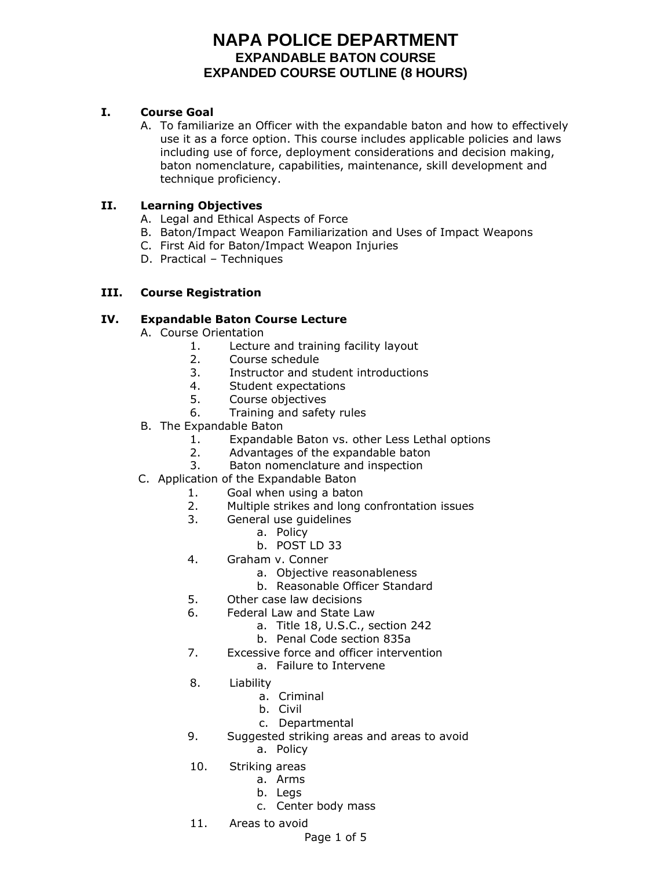## **I. Course Goal**

A. To familiarize an Officer with the expandable baton and how to effectively use it as a force option. This course includes applicable policies and laws including use of force, deployment considerations and decision making, baton nomenclature, capabilities, maintenance, skill development and technique proficiency.

## **II. Learning Objectives**

- A. Legal and Ethical Aspects of Force
- B. Baton/Impact Weapon Familiarization and Uses of Impact Weapons
- C. First Aid for Baton/Impact Weapon Injuries
- D. Practical Techniques

## **III. Course Registration**

## **IV. Expandable Baton Course Lecture**

- A. Course Orientation
	- 1. Lecture and training facility layout
	- 2. Course schedule
	- 3. Instructor and student introductions
	- 4. Student expectations
	- 5. Course objectives
	- 6. Training and safety rules
- B. The Expandable Baton
	- 1. Expandable Baton vs. other Less Lethal options
	- 2. Advantages of the expandable baton
	- 3. Baton nomenclature and inspection
- C. Application of the Expandable Baton
	- 1. Goal when using a baton
	- 2. Multiple strikes and long confrontation issues
	- 3. General use guidelines
		- a. Policy
		- b. POST LD 33
	- 4. Graham v. Conner
		- a. Objective reasonableness
		- b. Reasonable Officer Standard
	- 5. Other case law decisions
	- 6. Federal Law and State Law
		- a. Title 18, U.S.C., section 242
		- b. Penal Code section 835a
	- 7. Excessive force and officer intervention
		- a. Failure to Intervene
	- 8. Liability
		- a. Criminal
		- b. Civil
		- c. Departmental
	- 9. Suggested striking areas and areas to avoid
		- a. Policy
	- 10. Striking areas
		- a. Arms
			- b. Legs
			- c. Center body mass
	- 11. Areas to avoid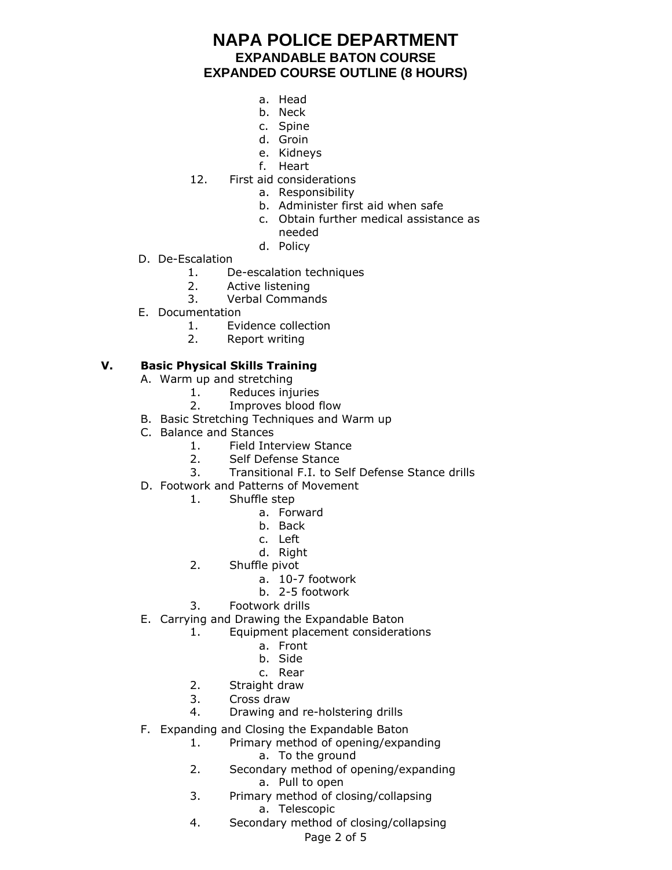- a. Head
- b. Neck
- c. Spine
- d. Groin
- e. Kidneys
- f. Heart
- 12. First aid considerations
	- a. Responsibility
		- b. Administer first aid when safe
		- c. Obtain further medical assistance as needed
		- d. Policy
- D. De-Escalation
	- 1. De-escalation techniques
	- 2. Active listening
	- 3. Verbal Commands
- E. Documentation
	- 1. Evidence collection
	- 2. Report writing

## **V. Basic Physical Skills Training**

- A. Warm up and stretching
	- 1. Reduces injuries
	- 2. Improves blood flow
- B. Basic Stretching Techniques and Warm up
- C. Balance and Stances
	- 1. Field Interview Stance
	- 2. Self Defense Stance
	- 3. Transitional F.I. to Self Defense Stance drills
- D. Footwork and Patterns of Movement
	- 1. Shuffle step
		- a. Forward
		- b. Back
		- c. Left
		- d. Right
	- 2. Shuffle pivot
		- a. 10-7 footwork
		- b. 2-5 footwork
	- 3. Footwork drills
- E. Carrying and Drawing the Expandable Baton
	- 1. Equipment placement considerations
		- a. Front
			- b. Side
		- c. Rear
	- 2. Straight draw
	- 3. Cross draw
	- 4. Drawing and re-holstering drills
- F. Expanding and Closing the Expandable Baton
	- 1. Primary method of opening/expanding
		- a. To the ground
	- 2. Secondary method of opening/expanding a. Pull to open
	- 3. Primary method of closing/collapsing a. Telescopic
	- 4. Secondary method of closing/collapsing

Page 2 of 5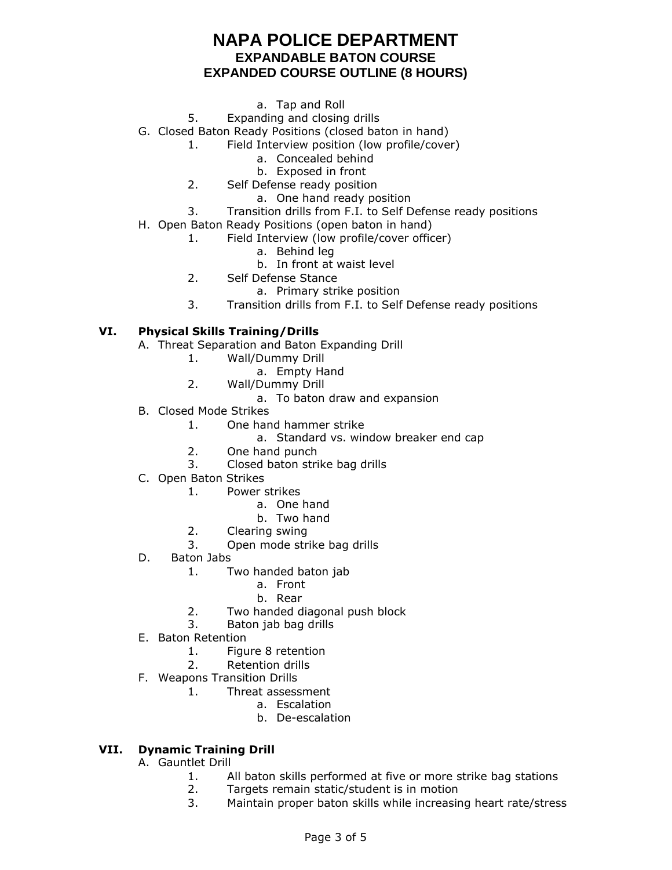- a. Tap and Roll
- 5. Expanding and closing drills

G. Closed Baton Ready Positions (closed baton in hand)

- 1. Field Interview position (low profile/cover)
	- a. Concealed behind
	- b. Exposed in front
- 2. Self Defense ready position
	- a. One hand ready position
- 3. Transition drills from F.I. to Self Defense ready positions
- H. Open Baton Ready Positions (open baton in hand)
	- 1. Field Interview (low profile/cover officer)
		- a. Behind leg
			- b. In front at waist level
	- 2. Self Defense Stance
		- a. Primary strike position
	- 3. Transition drills from F.I. to Self Defense ready positions

#### **VI. Physical Skills Training/Drills**

- A. Threat Separation and Baton Expanding Drill
	- 1. Wall/Dummy Drill
		- a. Empty Hand
	- 2. Wall/Dummy Drill
		- a. To baton draw and expansion
- B. Closed Mode Strikes
	- 1. One hand hammer strike
		- a. Standard vs. window breaker end cap
	- 2. One hand punch
	- 3. Closed baton strike bag drills
- C. Open Baton Strikes
	- 1. Power strikes
		- a. One hand
		- b. Two hand
	- 2. Clearing swing
	- 3. Open mode strike bag drills
- D. Baton Jabs
	- 1. Two handed baton jab
		- a. Front
		- b. Rear
	- 2. Two handed diagonal push block
	- 3. Baton jab bag drills
- E. Baton Retention
	- 1. Figure 8 retention
	- 2. Retention drills
- F. Weapons Transition Drills
	- 1. Threat assessment
		- a. Escalation
			- b. De-escalation

### **VII. Dynamic Training Drill**

- A. Gauntlet Drill
	- 1. All baton skills performed at five or more strike bag stations
	- 2. Targets remain static/student is in motion
	- 3. Maintain proper baton skills while increasing heart rate/stress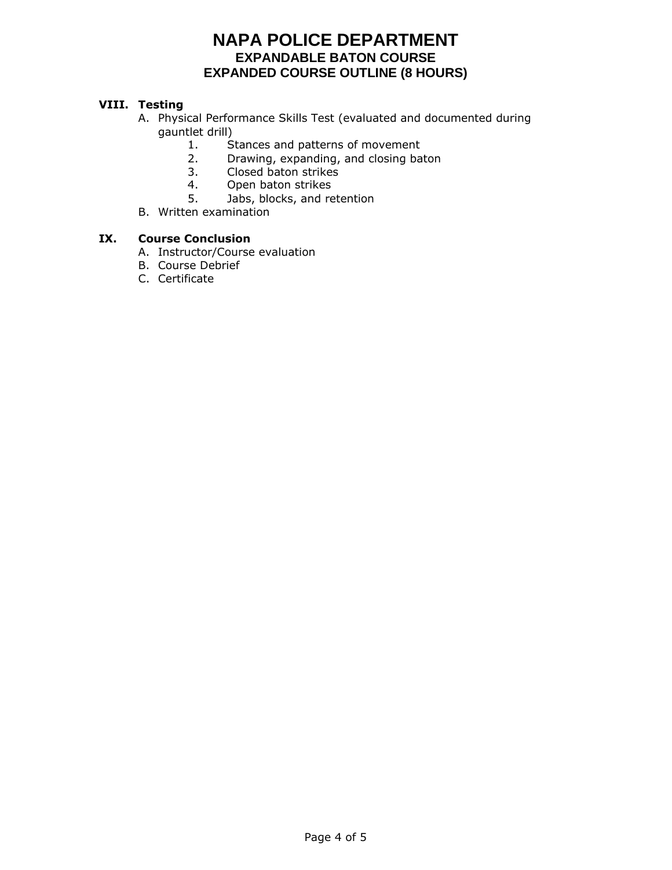### **VIII. Testing**

- A. Physical Performance Skills Test (evaluated and documented during gauntlet drill)
	- 1. Stances and patterns of movement
	- 2. Drawing, expanding, and closing baton
	- 3. Closed baton strikes
	- 4. Open baton strikes
	- 5. Jabs, blocks, and retention
- B. Written examination

#### **IX. Course Conclusion**

- A. Instructor/Course evaluation
- B. Course Debrief
- C. Certificate